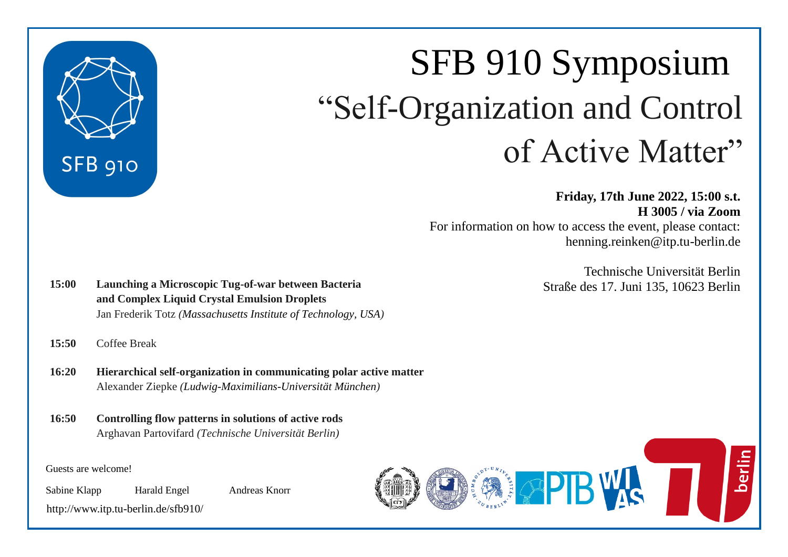

# SFB 910 Symposium "Self-Organization and Control of Active Matter"

**Friday, 17th June 2022, 15:00 s.t. H 3005 / via Zoom** For information on how to access the event, please contact: henning.reinken@itp.tu-berlin.de

> Technische Universität Berlin Straße des 17. Juni 135, 10623 Berlin

**15:00 Launching a Microscopic Tug-of-war between Bacteria and Complex Liquid Crystal Emulsion Droplets** Jan Frederik Totz *(Massachusetts Institute of Technology, USA)*

**15:50** Coffee Break

- **16:20 Hierarchical self-organization in communicating polar active matter** Alexander Ziepke *(Ludwig-Maximilians-Universität München)*
- **16:50 Controlling flow patterns in solutions of active rods** Arghavan Partovifard *(Technische Universität Berlin)*

Guests are welcome!

Sabine Klapp Harald Engel Andreas Knorr

<http://www.itp.tu-berlin.de/sfb910/>